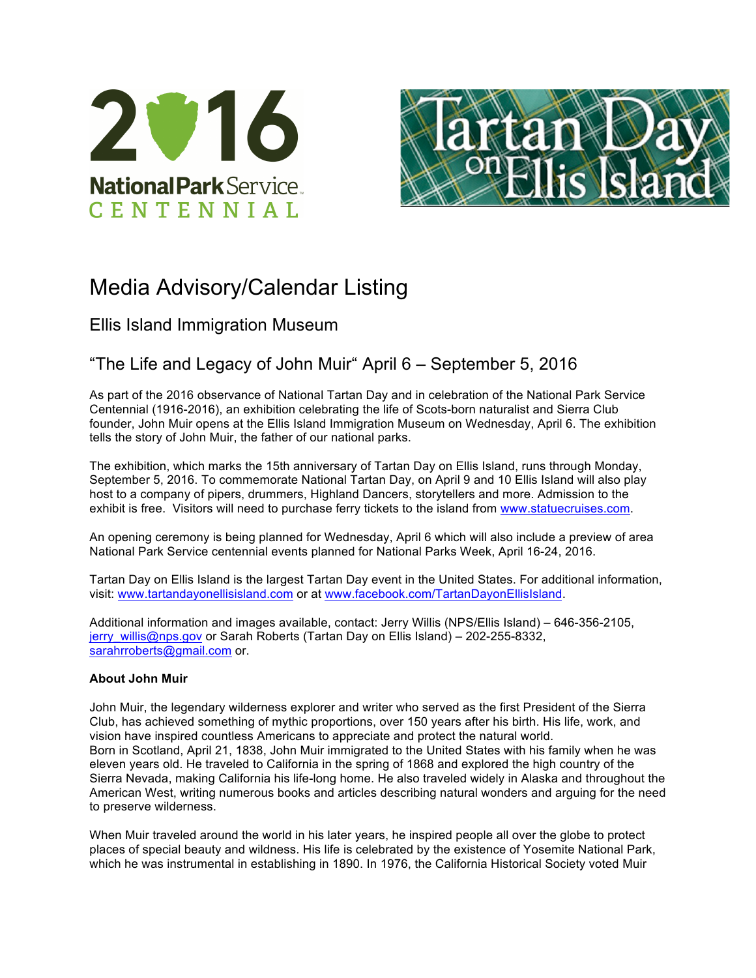



# Media Advisory/Calendar Listing

Ellis Island Immigration Museum

# "The Life and Legacy of John Muir" April 6 – September 5, 2016

As part of the 2016 observance of National Tartan Day and in celebration of the National Park Service Centennial (1916-2016), an exhibition celebrating the life of Scots-born naturalist and Sierra Club founder, John Muir opens at the Ellis Island Immigration Museum on Wednesday, April 6. The exhibition tells the story of John Muir, the father of our national parks.

The exhibition, which marks the 15th anniversary of Tartan Day on Ellis Island, runs through Monday, September 5, 2016. To commemorate National Tartan Day, on April 9 and 10 Ellis Island will also play host to a company of pipers, drummers, Highland Dancers, storytellers and more. Admission to the exhibit is free. Visitors will need to purchase ferry tickets to the island from www.statuecruises.com.

An opening ceremony is being planned for Wednesday, April 6 which will also include a preview of area National Park Service centennial events planned for National Parks Week, April 16-24, 2016.

Tartan Day on Ellis Island is the largest Tartan Day event in the United States. For additional information, visit: www.tartandayonellisisland.com or at www.facebook.com/TartanDayonEllisIsland.

Additional information and images available, contact: Jerry Willis (NPS/Ellis Island) – 646-356-2105, jerry willis@nps.gov or Sarah Roberts (Tartan Day on Ellis Island) – 202-255-8332, sarahrroberts@gmail.com or.

## **About John Muir**

John Muir, the legendary wilderness explorer and writer who served as the first President of the Sierra Club, has achieved something of mythic proportions, over 150 years after his birth. His life, work, and vision have inspired countless Americans to appreciate and protect the natural world. Born in Scotland, April 21, 1838, John Muir immigrated to the United States with his family when he was eleven years old. He traveled to California in the spring of 1868 and explored the high country of the Sierra Nevada, making California his life-long home. He also traveled widely in Alaska and throughout the American West, writing numerous books and articles describing natural wonders and arguing for the need to preserve wilderness.

When Muir traveled around the world in his later years, he inspired people all over the globe to protect places of special beauty and wildness. His life is celebrated by the existence of Yosemite National Park, which he was instrumental in establishing in 1890. In 1976, the California Historical Society voted Muir